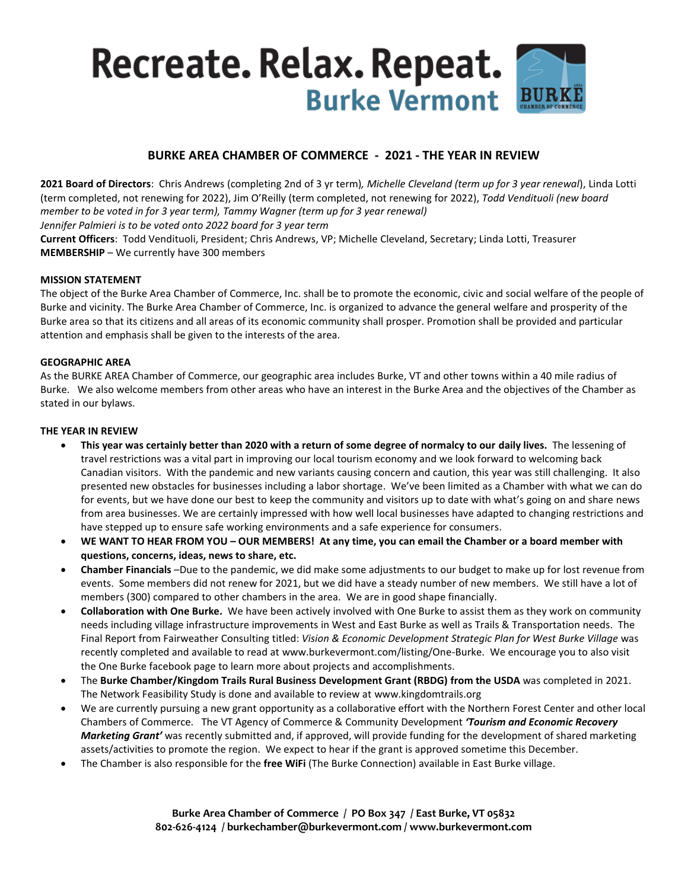# Recreate. Relax. Repeat. **BUR Burke Vermont**

# **BURKE AREA CHAMBER OF COMMERCE - 2021 - THE YEAR IN REVIEW**

**2021 Board of Directors**: Chris Andrews (completing 2nd of 3 yr term)*, Michelle Cleveland (term up for 3 year renewal*), Linda Lotti (term completed, not renewing for 2022), Jim O'Reilly (term completed, not renewing for 2022), *Todd Vendituoli (new board member to be voted in for 3 year term), Tammy Wagner (term up for 3 year renewal) Jennifer Palmieri is to be voted onto 2022 board for 3 year term* **Current Officers**: Todd Vendituoli, President; Chris Andrews, VP; Michelle Cleveland, Secretary; Linda Lotti, Treasurer **MEMBERSHIP** – We currently have 300 members

## **MISSION STATEMENT**

The object of the Burke Area Chamber of Commerce, Inc. shall be to promote the economic, civic and social welfare of the people of Burke and vicinity. The Burke Area Chamber of Commerce, Inc. is organized to advance the general welfare and prosperity of the Burke area so that its citizens and all areas of its economic community shall prosper. Promotion shall be provided and particular attention and emphasis shall be given to the interests of the area.

#### **GEOGRAPHIC AREA**

As the BURKE AREA Chamber of Commerce, our geographic area includes Burke, VT and other towns within a 40 mile radius of Burke. We also welcome members from other areas who have an interest in the Burke Area and the objectives of the Chamber as stated in our bylaws.

## **THE YEAR IN REVIEW**

- **This year was certainly better than 2020 with a return of some degree of normalcy to our daily lives.** The lessening of travel restrictions was a vital part in improving our local tourism economy and we look forward to welcoming back Canadian visitors. With the pandemic and new variants causing concern and caution, this year was still challenging. It also presented new obstacles for businesses including a labor shortage. We've been limited as a Chamber with what we can do for events, but we have done our best to keep the community and visitors up to date with what's going on and share news from area businesses. We are certainly impressed with how well local businesses have adapted to changing restrictions and have stepped up to ensure safe working environments and a safe experience for consumers.
- **WE WANT TO HEAR FROM YOU – OUR MEMBERS! At any time, you can email the Chamber or a board member with questions, concerns, ideas, news to share, etc.**
- **Chamber Financials** –Due to the pandemic, we did make some adjustments to our budget to make up for lost revenue from events. Some members did not renew for 2021, but we did have a steady number of new members. We still have a lot of members (300) compared to other chambers in the area. We are in good shape financially.
- **Collaboration with One Burke.** We have been actively involved with One Burke to assist them as they work on community needs including village infrastructure improvements in West and East Burke as well as Trails & Transportation needs. The Final Report from Fairweather Consulting titled: *Vision & Economic Development Strategic Plan for West Burke Village* was recently completed and available to read at www.burkevermont.com/listing/One-Burke. We encourage you to also visit the One Burke facebook page to learn more about projects and accomplishments.
- The **Burke Chamber/Kingdom Trails Rural Business Development Grant (RBDG) from the USDA** was completed in 2021. The Network Feasibility Study is done and available to review at www.kingdomtrails.org
- We are currently pursuing a new grant opportunity as a collaborative effort with the Northern Forest Center and other local Chambers of Commerce. The VT Agency of Commerce & Community Development *'Tourism and Economic Recovery Marketing Grant'* was recently submitted and, if approved, will provide funding for the development of shared marketing assets/activities to promote the region. We expect to hear if the grant is approved sometime this December.
- The Chamber is also responsible for the **free WiFi** (The Burke Connection) available in East Burke village.